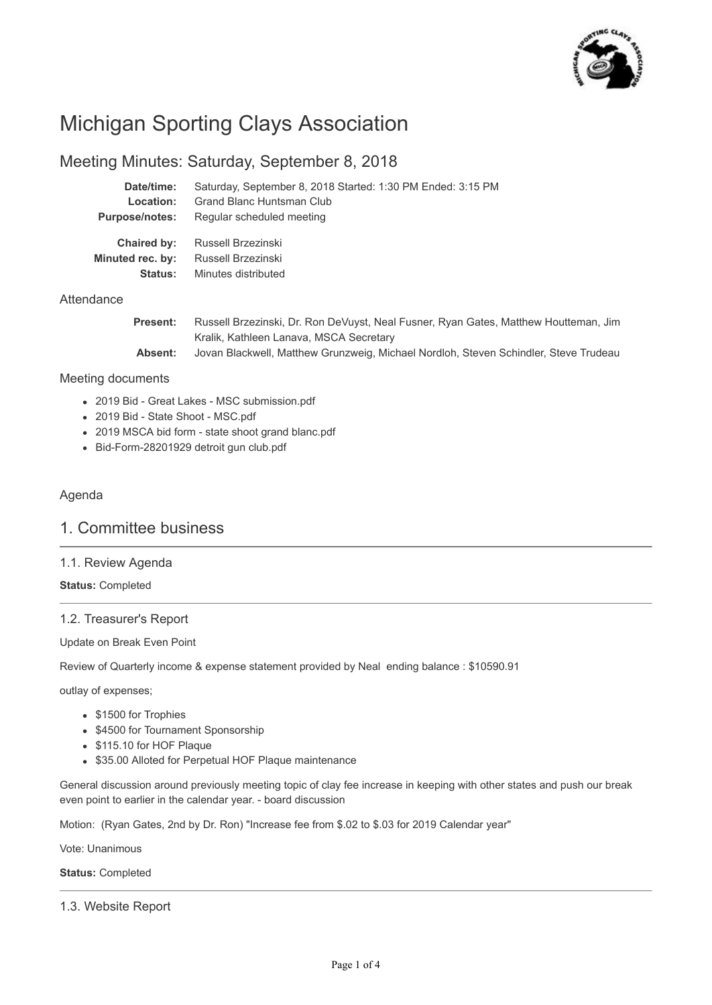

# Michigan Sporting Clays Association

# Meeting Minutes: Saturday, September 8, 2018

Minutes distributed

| Date/time:                      | Saturday, September 8, 2018 Started: 1:30 PM Ended: 3:15 PM |
|---------------------------------|-------------------------------------------------------------|
| Location:                       | Grand Blanc Huntsman Club                                   |
| <b>Purpose/notes:</b>           | Regular scheduled meeting                                   |
| Chaired by:<br>Minuted rec. by: | Russell Brzezinski<br>Russell Brzezinski                    |

## **Attendance**

| <b>Present:</b> | Russell Brzezinski, Dr. Ron DeVuyst, Neal Fusner, Ryan Gates, Matthew Houtteman, Jim |
|-----------------|--------------------------------------------------------------------------------------|
|                 | Kralik, Kathleen Lanava, MSCA Secretary                                              |
| Absent:         | Jovan Blackwell, Matthew Grunzweig, Michael Nordloh, Steven Schindler, Steve Trudeau |

#### Meeting documents

- 2019 Bid Great Lakes MSC submission.pdf
- 2019 Bid State Shoot MSC.pdf

**Status:**

- 2019 MSCA bid form state shoot grand blanc.pdf
- Bid-Form-28201929 detroit gun club.pdf

# Agenda

# 1. Committee business

## 1.1. Review Agenda

**Status:** Completed

# 1.2. Treasurer's Report

Update on Break Even Point

Review of Quarterly income & expense statement provided by Neal ending balance : \$10590.91

outlay of expenses;

- \$1500 for Trophies
- \$4500 for Tournament Sponsorship
- \$115.10 for HOF Plaque
- \$35.00 Alloted for Perpetual HOF Plaque maintenance

General discussion around previously meeting topic of clay fee increase in keeping with other states and push our break even point to earlier in the calendar year. - board discussion

Motion: (Ryan Gates, 2nd by Dr. Ron) "Increase fee from \$.02 to \$.03 for 2019 Calendar year"

Vote: Unanimous

**Status:** Completed

1.3. Website Report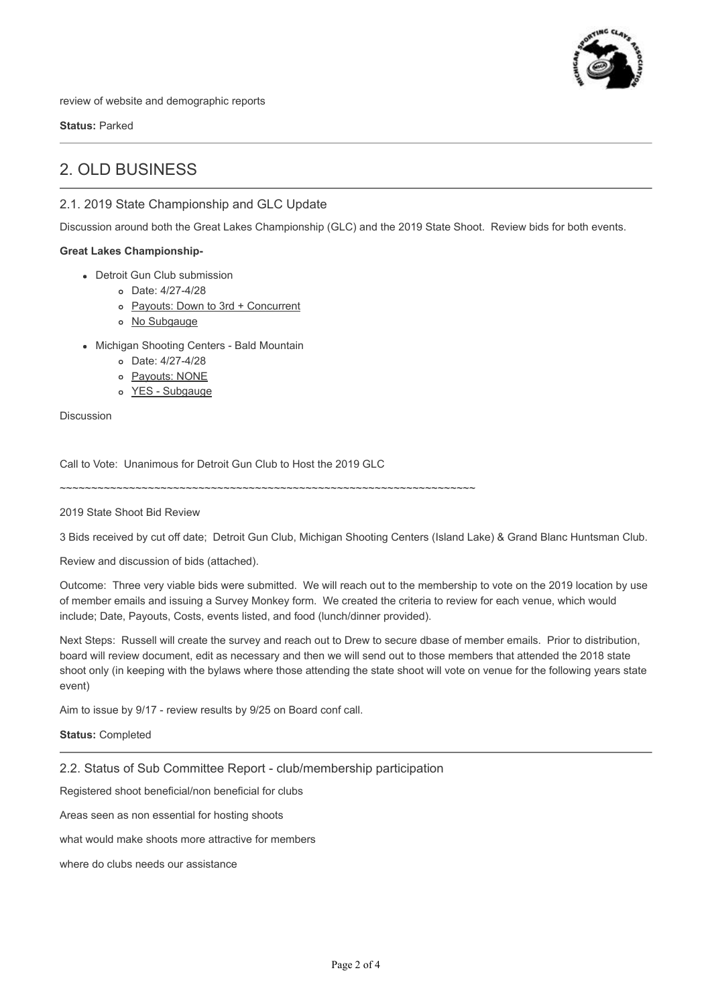

review of website and demographic reports

**Status:** Parked

# 2. OLD BUSINESS

# 2.1. 2019 State Championship and GLC Update

Discussion around both the Great Lakes Championship (GLC) and the 2019 State Shoot. Review bids for both events.

#### **Great Lakes Championship-**

- Detroit Gun Club submission
	- Date: 4/27-4/28
	- Payouts: Down to 3rd + Concurrent
	- No Subgauge
- Michigan Shooting Centers Bald Mountain
	- Date: 4/27-4/28
	- o Payouts: NONE
	- YES Subgauge

Discussion

Call to Vote: Unanimous for Detroit Gun Club to Host the 2019 GLC

~~~~~~~~~~~~~~~~~~~~~~~~~~~~~~~~~~~~~~~~~~~~~~~~~~~~~~~~~~~~~~~~~~

2019 State Shoot Bid Review

3 Bids received by cut off date; Detroit Gun Club, Michigan Shooting Centers (Island Lake) & Grand Blanc Huntsman Club.

Review and discussion of bids (attached).

Outcome: Three very viable bids were submitted. We will reach out to the membership to vote on the 2019 location by use of member emails and issuing a Survey Monkey form. We created the criteria to review for each venue, which would include; Date, Payouts, Costs, events listed, and food (lunch/dinner provided).

Next Steps: Russell will create the survey and reach out to Drew to secure dbase of member emails. Prior to distribution, board will review document, edit as necessary and then we will send out to those members that attended the 2018 state shoot only (in keeping with the bylaws where those attending the state shoot will vote on venue for the following years state event)

Aim to issue by 9/17 - review results by 9/25 on Board conf call.

**Status:** Completed

2.2. Status of Sub Committee Report - club/membership participation

Registered shoot beneficial/non beneficial for clubs

Areas seen as non essential for hosting shoots

what would make shoots more attractive for members

where do clubs needs our assistance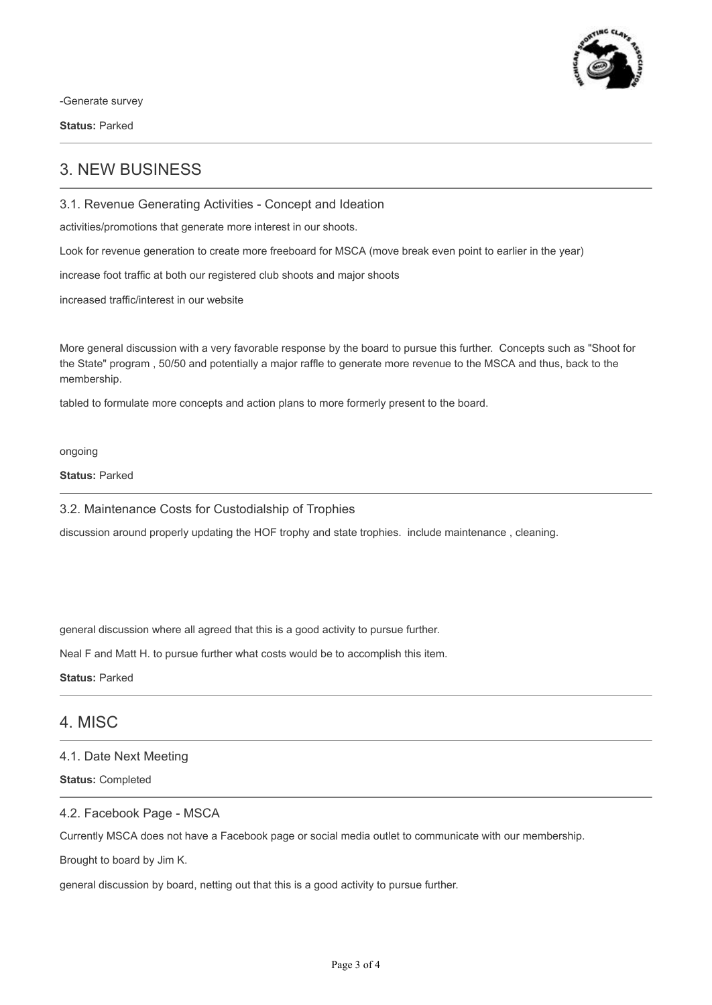

-Generate survey

**Status:** Parked

# 3. NEW BUSINESS

3.1. Revenue Generating Activities - Concept and Ideation

activities/promotions that generate more interest in our shoots.

Look for revenue generation to create more freeboard for MSCA (move break even point to earlier in the year)

increase foot traffic at both our registered club shoots and major shoots

increased traffic/interest in our website

More general discussion with a very favorable response by the board to pursue this further. Concepts such as "Shoot for the State" program , 50/50 and potentially a major raffle to generate more revenue to the MSCA and thus, back to the membership.

tabled to formulate more concepts and action plans to more formerly present to the board.

#### ongoing

## **Status:** Parked

3.2. Maintenance Costs for Custodialship of Trophies

discussion around properly updating the HOF trophy and state trophies. include maintenance , cleaning.

general discussion where all agreed that this is a good activity to pursue further.

Neal F and Matt H. to pursue further what costs would be to accomplish this item.

**Status:** Parked

# 4. MISC

## 4.1. Date Next Meeting

**Status:** Completed

## 4.2. Facebook Page - MSCA

Currently MSCA does not have a Facebook page or social media outlet to communicate with our membership.

Brought to board by Jim K.

general discussion by board, netting out that this is a good activity to pursue further.